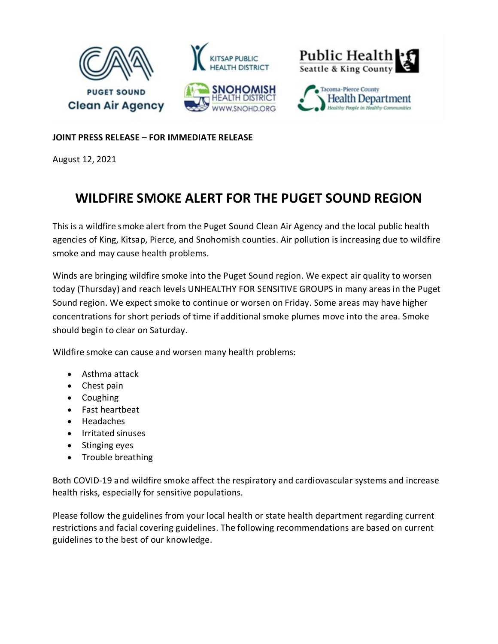

## **JOINT PRESS RELEASE – FOR IMMEDIATE RELEASE**

August 12, 2021

## **WILDFIRE SMOKE ALERT FOR THE PUGET SOUND REGION**

This is a wildfire smoke alert from the Puget Sound Clean Air Agency and the local public health agencies of King, Kitsap, Pierce, and Snohomish counties. Air pollution is increasing due to wildfire smoke and may cause health problems.

Winds are bringing wildfire smoke into the Puget Sound region. We expect air quality to worsen today (Thursday) and reach levels UNHEALTHY FOR SENSITIVE GROUPS in many areas in the Puget Sound region. We expect smoke to continue or worsen on Friday. Some areas may have higher concentrations for short periods of time if additional smoke plumes move into the area. Smoke should begin to clear on Saturday.

Wildfire smoke can cause and worsen many health problems:

- Asthma attack
- Chest pain
- Coughing
- Fast heartbeat
- Headaches
- Irritated sinuses
- Stinging eyes
- Trouble breathing

Both COVID-19 and wildfire smoke affect the respiratory and cardiovascular systems and increase health risks, especially for sensitive populations.

Please follow the guidelines from your local health or state health department regarding current restrictions and facial covering guidelines. The following recommendations are based on current guidelines to the best of our knowledge.